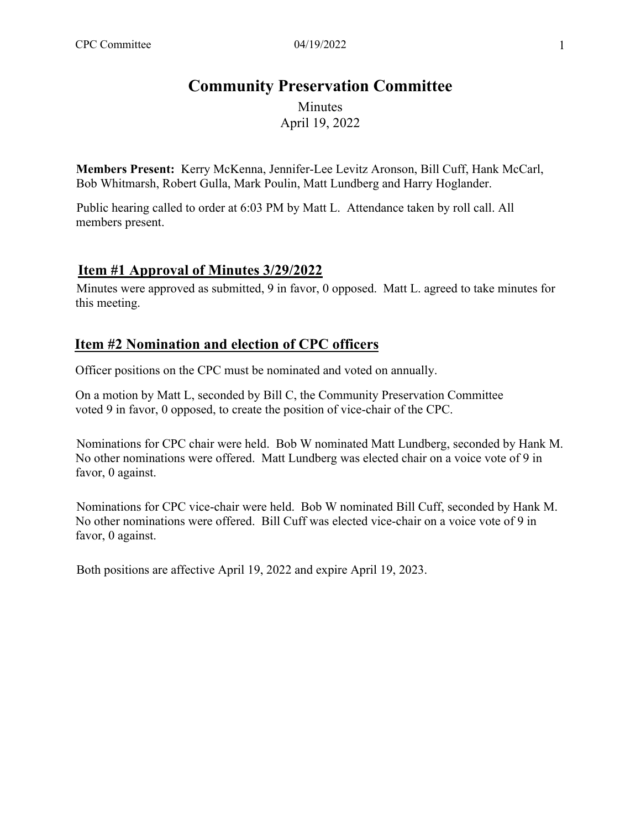# **Community Preservation Committee**

Minutes April 19, 2022

**Members Present:** Kerry McKenna, Jennifer-Lee Levitz Aronson, Bill Cuff, Hank McCarl, Bob Whitmarsh, Robert Gulla, Mark Poulin, Matt Lundberg and Harry Hoglander.

Public hearing called to order at 6:03 PM by Matt L. Attendance taken by roll call. All members present.

### **Item #1 Approval of Minutes 3/29/2022**

Minutes were approved as submitted, 9 in favor, 0 opposed. Matt L. agreed to take minutes for this meeting.

### **Item #2 Nomination and election of CPC officers**

Officer positions on the CPC must be nominated and voted on annually.

On a motion by Matt L, seconded by Bill C, the Community Preservation Committee voted 9 in favor, 0 opposed, to create the position of vice-chair of the CPC.

Nominations for CPC chair were held. Bob W nominated Matt Lundberg, seconded by Hank M. No other nominations were offered. Matt Lundberg was elected chair on a voice vote of 9 in favor, 0 against.

Nominations for CPC vice-chair were held. Bob W nominated Bill Cuff, seconded by Hank M. No other nominations were offered. Bill Cuff was elected vice-chair on a voice vote of 9 in favor, 0 against.

Both positions are affective April 19, 2022 and expire April 19, 2023.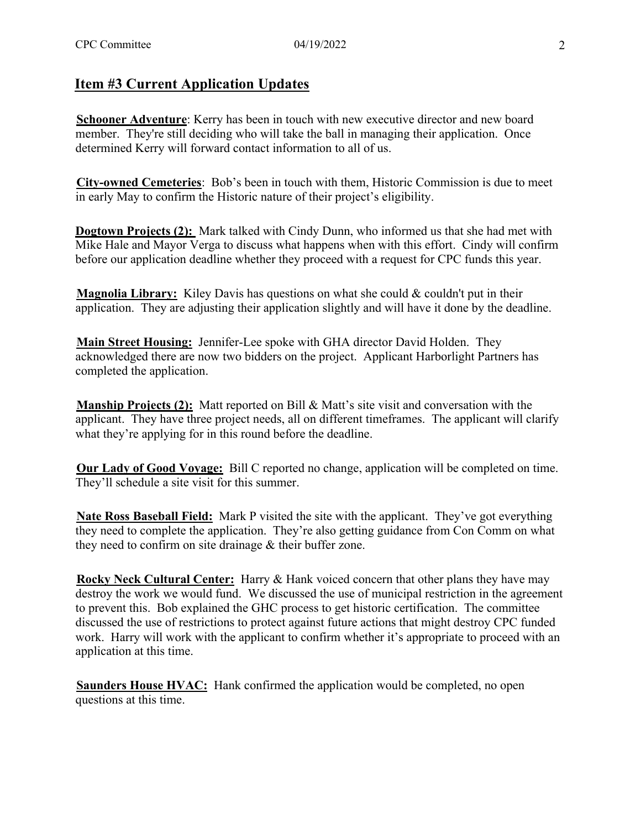#### **Item #3 Current Application Updates**

**Schooner Adventure**: Kerry has been in touch with new executive director and new board member. They're still deciding who will take the ball in managing their application. Once determined Kerry will forward contact information to all of us.

**City-owned Cemeteries**: Bob's been in touch with them, Historic Commission is due to meet in early May to confirm the Historic nature of their project's eligibility.

**Dogtown Projects (2):** Mark talked with Cindy Dunn, who informed us that she had met with Mike Hale and Mayor Verga to discuss what happens when with this effort. Cindy will confirm before our application deadline whether they proceed with a request for CPC funds this year.

**Magnolia Library:** Kiley Davis has questions on what she could & couldn't put in their application. They are adjusting their application slightly and will have it done by the deadline.

**Main Street Housing:** Jennifer-Lee spoke with GHA director David Holden. They acknowledged there are now two bidders on the project. Applicant Harborlight Partners has completed the application.

**Manship Projects (2):** Matt reported on Bill & Matt's site visit and conversation with the applicant. They have three project needs, all on different timeframes. The applicant will clarify what they're applying for in this round before the deadline.

**Our Lady of Good Voyage:** Bill C reported no change, application will be completed on time. They'll schedule a site visit for this summer.

**Nate Ross Baseball Field:** Mark P visited the site with the applicant. They've got everything they need to complete the application. They're also getting guidance from Con Comm on what they need to confirm on site drainage & their buffer zone.

**Rocky Neck Cultural Center:** Harry & Hank voiced concern that other plans they have may destroy the work we would fund. We discussed the use of municipal restriction in the agreement to prevent this. Bob explained the GHC process to get historic certification. The committee discussed the use of restrictions to protect against future actions that might destroy CPC funded work. Harry will work with the applicant to confirm whether it's appropriate to proceed with an application at this time.

**Saunders House HVAC:** Hank confirmed the application would be completed, no open questions at this time.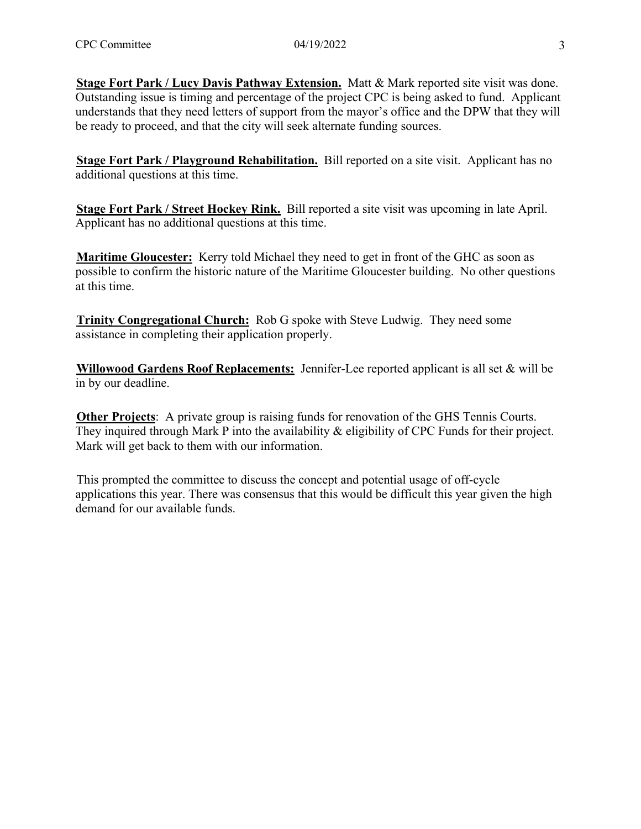**Stage Fort Park / Lucy Davis Pathway Extension.** Matt & Mark reported site visit was done. Outstanding issue is timing and percentage of the project CPC is being asked to fund. Applicant understands that they need letters of support from the mayor's office and the DPW that they will be ready to proceed, and that the city will seek alternate funding sources.

**Stage Fort Park / Playground Rehabilitation.** Bill reported on a site visit. Applicant has no additional questions at this time.

**Stage Fort Park / Street Hockey Rink.** Bill reported a site visit was upcoming in late April. Applicant has no additional questions at this time.

**Maritime Gloucester:** Kerry told Michael they need to get in front of the GHC as soon as possible to confirm the historic nature of the Maritime Gloucester building. No other questions at this time.

**Trinity Congregational Church:** Rob G spoke with Steve Ludwig. They need some assistance in completing their application properly.

**Willowood Gardens Roof Replacements:** Jennifer-Lee reported applicant is all set & will be in by our deadline.

**Other Projects**: A private group is raising funds for renovation of the GHS Tennis Courts. They inquired through Mark P into the availability & eligibility of CPC Funds for their project. Mark will get back to them with our information.

This prompted the committee to discuss the concept and potential usage of off-cycle applications this year. There was consensus that this would be difficult this year given the high demand for our available funds.